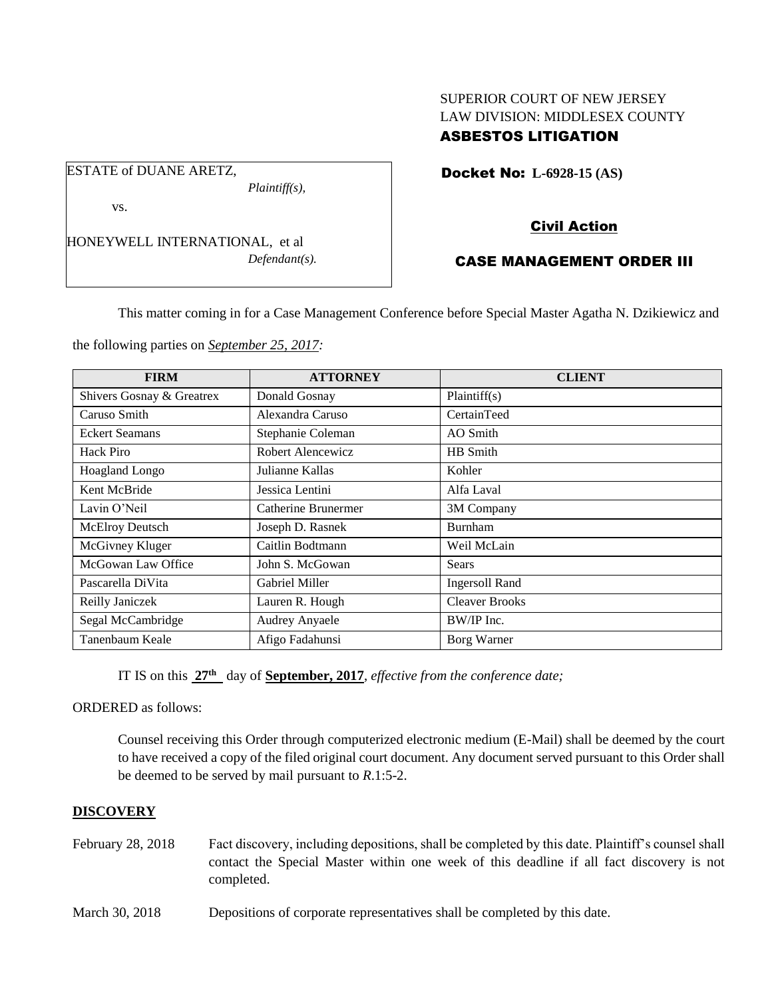## SUPERIOR COURT OF NEW JERSEY LAW DIVISION: MIDDLESEX COUNTY ASBESTOS LITIGATION

Docket No: **L-6928-15 (AS)** 

vs.

ESTATE of DUANE ARETZ,

HONEYWELL INTERNATIONAL, et al *Defendant(s).*

*Plaintiff(s),*

# Civil Action

## CASE MANAGEMENT ORDER III

This matter coming in for a Case Management Conference before Special Master Agatha N. Dzikiewicz and

the following parties on *September 25, 2017:*

| <b>FIRM</b>               | <b>ATTORNEY</b>     | <b>CLIENT</b>         |
|---------------------------|---------------------|-----------------------|
| Shivers Gosnay & Greatrex | Donald Gosnay       | Plaintiff(s)          |
| Caruso Smith              | Alexandra Caruso    | CertainTeed           |
| <b>Eckert Seamans</b>     | Stephanie Coleman   | AO Smith              |
| Hack Piro                 | Robert Alencewicz   | HB Smith              |
| <b>Hoagland Longo</b>     | Julianne Kallas     | Kohler                |
| Kent McBride              | Jessica Lentini     | Alfa Laval            |
| Lavin O'Neil              | Catherine Brunermer | 3M Company            |
| McElroy Deutsch           | Joseph D. Rasnek    | <b>Burnham</b>        |
| McGivney Kluger           | Caitlin Bodtmann    | Weil McLain           |
| McGowan Law Office        | John S. McGowan     | Sears                 |
| Pascarella DiVita         | Gabriel Miller      | <b>Ingersoll Rand</b> |
| Reilly Janiczek           | Lauren R. Hough     | <b>Cleaver Brooks</b> |
| Segal McCambridge         | Audrey Anyaele      | BW/IP Inc.            |
| Tanenbaum Keale           | Afigo Fadahunsi     | Borg Warner           |

IT IS on this **27th** day of **September, 2017**, *effective from the conference date;*

ORDERED as follows:

Counsel receiving this Order through computerized electronic medium (E-Mail) shall be deemed by the court to have received a copy of the filed original court document. Any document served pursuant to this Order shall be deemed to be served by mail pursuant to *R*.1:5-2.

## **DISCOVERY**

- February 28, 2018 Fact discovery, including depositions, shall be completed by this date. Plaintiff's counsel shall contact the Special Master within one week of this deadline if all fact discovery is not completed.
- March 30, 2018 Depositions of corporate representatives shall be completed by this date.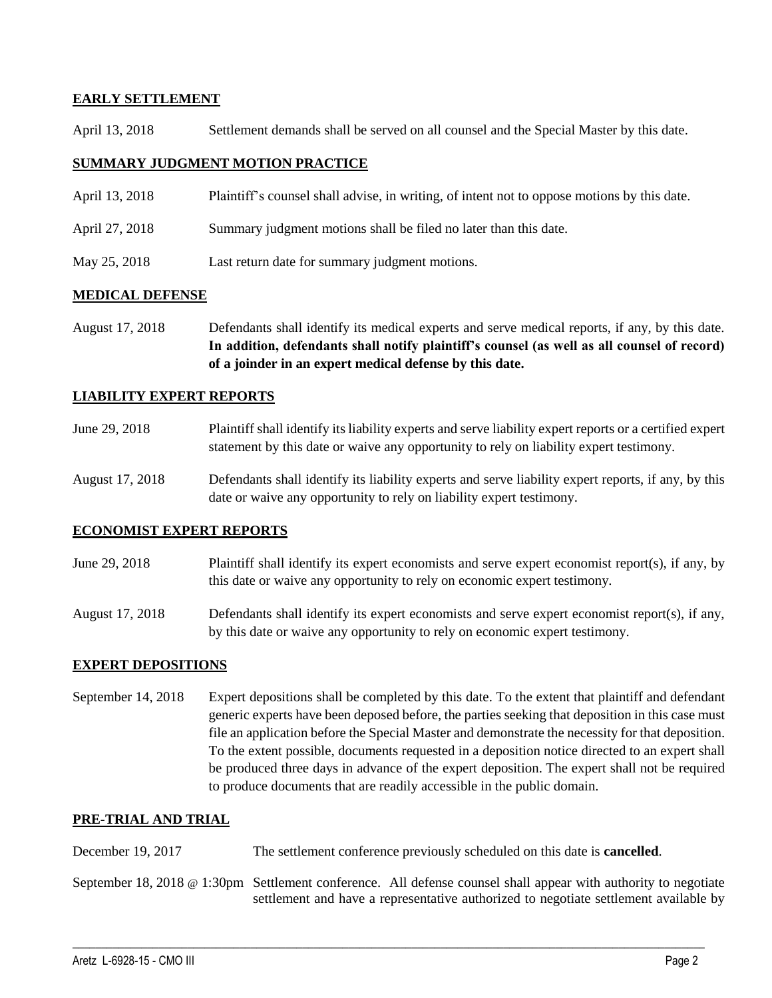### **EARLY SETTLEMENT**

April 13, 2018 Settlement demands shall be served on all counsel and the Special Master by this date.

#### **SUMMARY JUDGMENT MOTION PRACTICE**

- April 13, 2018 Plaintiff's counsel shall advise, in writing, of intent not to oppose motions by this date.
- April 27, 2018 Summary judgment motions shall be filed no later than this date.
- May 25, 2018 Last return date for summary judgment motions.

#### **MEDICAL DEFENSE**

August 17, 2018 Defendants shall identify its medical experts and serve medical reports, if any, by this date. **In addition, defendants shall notify plaintiff's counsel (as well as all counsel of record) of a joinder in an expert medical defense by this date.**

#### **LIABILITY EXPERT REPORTS**

- June 29, 2018 Plaintiff shall identify its liability experts and serve liability expert reports or a certified expert statement by this date or waive any opportunity to rely on liability expert testimony.
- August 17, 2018 Defendants shall identify its liability experts and serve liability expert reports, if any, by this date or waive any opportunity to rely on liability expert testimony.

#### **ECONOMIST EXPERT REPORTS**

- June 29, 2018 Plaintiff shall identify its expert economists and serve expert economist report(s), if any, by this date or waive any opportunity to rely on economic expert testimony.
- August 17, 2018 Defendants shall identify its expert economists and serve expert economist report(s), if any, by this date or waive any opportunity to rely on economic expert testimony.

#### **EXPERT DEPOSITIONS**

September 14, 2018 Expert depositions shall be completed by this date. To the extent that plaintiff and defendant generic experts have been deposed before, the parties seeking that deposition in this case must file an application before the Special Master and demonstrate the necessity for that deposition. To the extent possible, documents requested in a deposition notice directed to an expert shall be produced three days in advance of the expert deposition. The expert shall not be required to produce documents that are readily accessible in the public domain.

#### **PRE-TRIAL AND TRIAL**

December 19, 2017 The settlement conference previously scheduled on this date is **cancelled**.

September 18, 2018 @ 1:30pm Settlement conference. All defense counsel shall appear with authority to negotiate settlement and have a representative authorized to negotiate settlement available by

 $\_$  ,  $\_$  ,  $\_$  ,  $\_$  ,  $\_$  ,  $\_$  ,  $\_$  ,  $\_$  ,  $\_$  ,  $\_$  ,  $\_$  ,  $\_$  ,  $\_$  ,  $\_$  ,  $\_$  ,  $\_$  ,  $\_$  ,  $\_$  ,  $\_$  ,  $\_$  ,  $\_$  ,  $\_$  ,  $\_$  ,  $\_$  ,  $\_$  ,  $\_$  ,  $\_$  ,  $\_$  ,  $\_$  ,  $\_$  ,  $\_$  ,  $\_$  ,  $\_$  ,  $\_$  ,  $\_$  ,  $\_$  ,  $\_$  ,